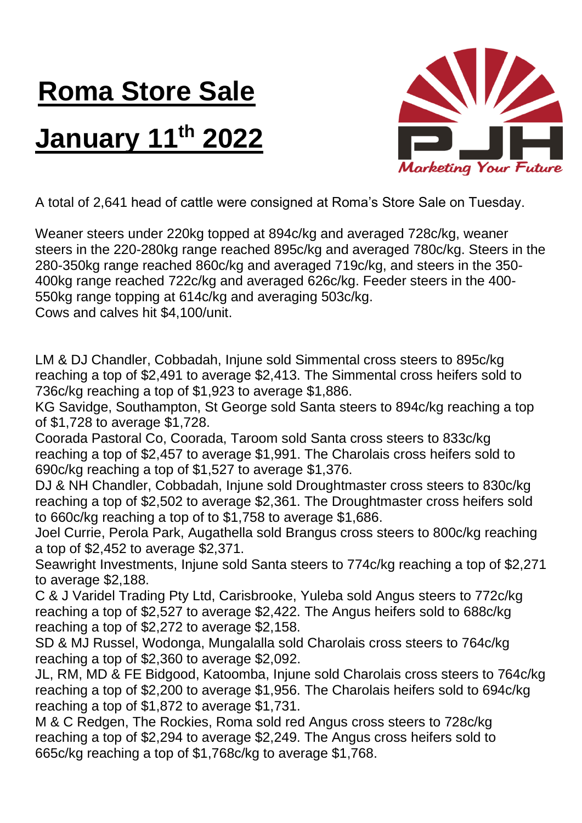## **Roma Store Sale January 11th 2022**



A total of 2,641 head of cattle were consigned at Roma's Store Sale on Tuesday.

Weaner steers under 220kg topped at 894c/kg and averaged 728c/kg, weaner steers in the 220-280kg range reached 895c/kg and averaged 780c/kg. Steers in the 280-350kg range reached 860c/kg and averaged 719c/kg, and steers in the 350- 400kg range reached 722c/kg and averaged 626c/kg. Feeder steers in the 400- 550kg range topping at 614c/kg and averaging 503c/kg. Cows and calves hit \$4,100/unit.

LM & DJ Chandler, Cobbadah, Injune sold Simmental cross steers to 895c/kg reaching a top of \$2,491 to average \$2,413. The Simmental cross heifers sold to 736c/kg reaching a top of \$1,923 to average \$1,886.

KG Savidge, Southampton, St George sold Santa steers to 894c/kg reaching a top of \$1,728 to average \$1,728.

Coorada Pastoral Co, Coorada, Taroom sold Santa cross steers to 833c/kg reaching a top of \$2,457 to average \$1,991. The Charolais cross heifers sold to 690c/kg reaching a top of \$1,527 to average \$1,376.

DJ & NH Chandler, Cobbadah, Injune sold Droughtmaster cross steers to 830c/kg reaching a top of \$2,502 to average \$2,361. The Droughtmaster cross heifers sold to 660c/kg reaching a top of to \$1,758 to average \$1,686.

Joel Currie, Perola Park, Augathella sold Brangus cross steers to 800c/kg reaching a top of \$2,452 to average \$2,371.

Seawright Investments, Injune sold Santa steers to 774c/kg reaching a top of \$2,271 to average \$2,188.

C & J Varidel Trading Pty Ltd, Carisbrooke, Yuleba sold Angus steers to 772c/kg reaching a top of \$2,527 to average \$2,422. The Angus heifers sold to 688c/kg reaching a top of \$2,272 to average \$2,158.

SD & MJ Russel, Wodonga, Mungalalla sold Charolais cross steers to 764c/kg reaching a top of \$2,360 to average \$2,092.

JL, RM, MD & FE Bidgood, Katoomba, Injune sold Charolais cross steers to 764c/kg reaching a top of \$2,200 to average \$1,956. The Charolais heifers sold to 694c/kg reaching a top of \$1,872 to average \$1,731.

M & C Redgen, The Rockies, Roma sold red Angus cross steers to 728c/kg reaching a top of \$2,294 to average \$2,249. The Angus cross heifers sold to 665c/kg reaching a top of \$1,768c/kg to average \$1,768.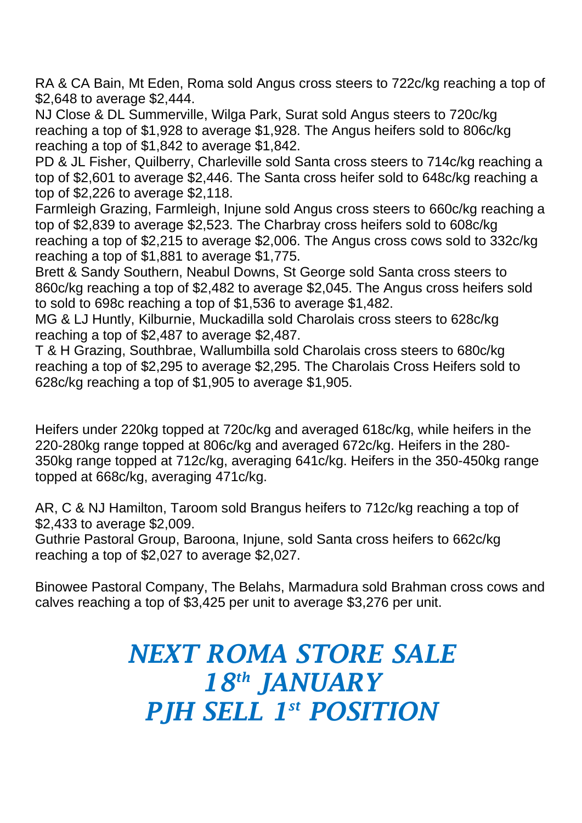RA & CA Bain, Mt Eden, Roma sold Angus cross steers to 722c/kg reaching a top of \$2,648 to average \$2,444.

NJ Close & DL Summerville, Wilga Park, Surat sold Angus steers to 720c/kg reaching a top of \$1,928 to average \$1,928. The Angus heifers sold to 806c/kg reaching a top of \$1,842 to average \$1,842.

PD & JL Fisher, Quilberry, Charleville sold Santa cross steers to 714c/kg reaching a top of \$2,601 to average \$2,446. The Santa cross heifer sold to 648c/kg reaching a top of \$2,226 to average \$2,118.

Farmleigh Grazing, Farmleigh, Injune sold Angus cross steers to 660c/kg reaching a top of \$2,839 to average \$2,523. The Charbray cross heifers sold to 608c/kg reaching a top of \$2,215 to average \$2,006. The Angus cross cows sold to 332c/kg reaching a top of \$1,881 to average \$1,775.

Brett & Sandy Southern, Neabul Downs, St George sold Santa cross steers to 860c/kg reaching a top of \$2,482 to average \$2,045. The Angus cross heifers sold to sold to 698c reaching a top of \$1,536 to average \$1,482.

MG & LJ Huntly, Kilburnie, Muckadilla sold Charolais cross steers to 628c/kg reaching a top of \$2,487 to average \$2,487.

T & H Grazing, Southbrae, Wallumbilla sold Charolais cross steers to 680c/kg reaching a top of \$2,295 to average \$2,295. The Charolais Cross Heifers sold to 628c/kg reaching a top of \$1,905 to average \$1,905.

Heifers under 220kg topped at 720c/kg and averaged 618c/kg, while heifers in the 220-280kg range topped at 806c/kg and averaged 672c/kg. Heifers in the 280- 350kg range topped at 712c/kg, averaging 641c/kg. Heifers in the 350-450kg range topped at 668c/kg, averaging 471c/kg.

AR, C & NJ Hamilton, Taroom sold Brangus heifers to 712c/kg reaching a top of \$2,433 to average \$2,009.

Guthrie Pastoral Group, Baroona, Injune, sold Santa cross heifers to 662c/kg reaching a top of \$2,027 to average \$2,027.

Binowee Pastoral Company, The Belahs, Marmadura sold Brahman cross cows and calves reaching a top of \$3,425 per unit to average \$3,276 per unit.

## *NEXT ROMA STORE SALE 18th JANUARY PJH SELL 1 st POSITION*